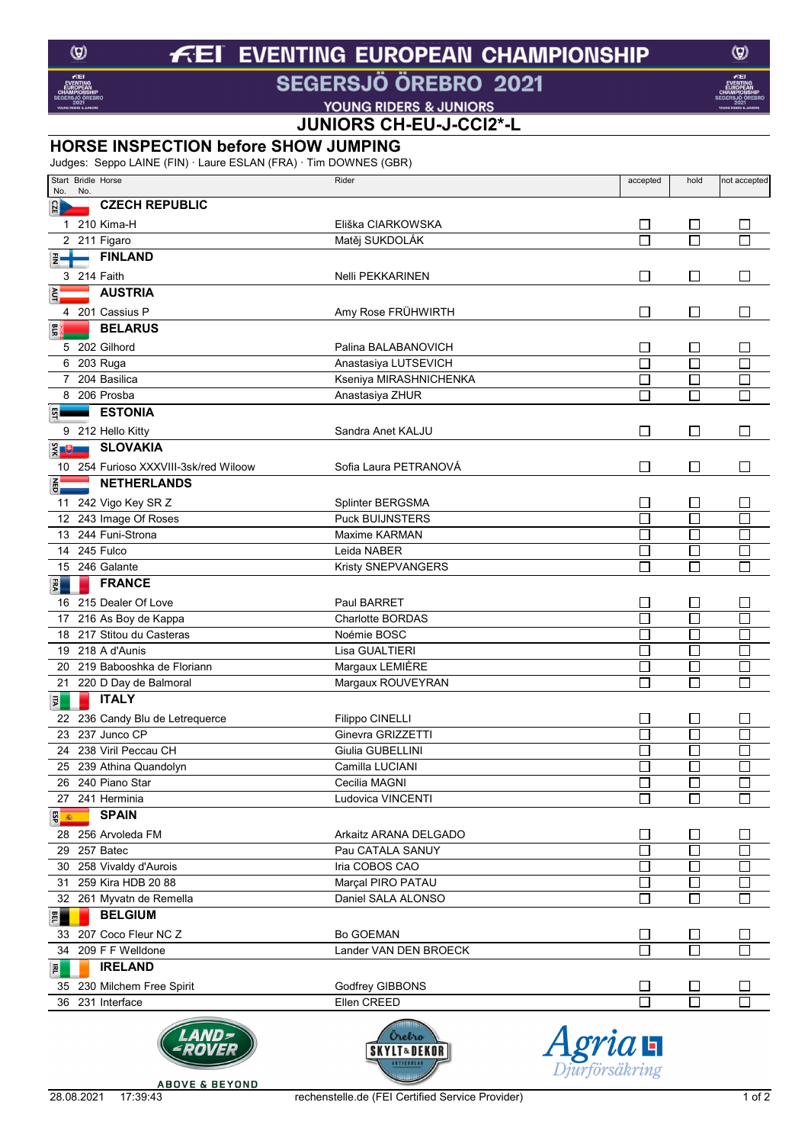#### **EVENTING EUROPEAN CHAMPIONSHIP**  $\boldsymbol{f}$ FΙ

SEGERSJÖ ÖREBRO 2021

**VOUNG RIDERS & JUNIORS**<br>**JUNIORS CH-EU-J-CCI2\*-L** 

### **HORSE INSPECTION before SHOW JUMPING**

Judges: Seppo LAINE (FIN) · Laure ESLAN (FRA) · Tim DOWNES (GBR)

|               |     | Start Bridle Horse                    | Rider                                                                          | accepted                    | hold                        | not accepted     |
|---------------|-----|---------------------------------------|--------------------------------------------------------------------------------|-----------------------------|-----------------------------|------------------|
| No.           | No. |                                       |                                                                                |                             |                             |                  |
| CZE           |     | <b>CZECH REPUBLIC</b>                 |                                                                                |                             |                             |                  |
|               |     | 1 210 Kima-H                          | Eliška CIARKOWSKA                                                              | $\Box$                      | $\Box$                      | $\Box$           |
|               |     | 2 211 Figaro                          | Matěj SUKDOLÁK                                                                 | $\Box$                      | $\Box$                      |                  |
|               |     | <b>FINLAND</b>                        |                                                                                |                             |                             |                  |
|               |     | 3 214 Faith                           | Nelli PEKKARINEN                                                               | $\overline{\phantom{a}}$    | $\Box$                      |                  |
|               |     | <b>AUSTRIA</b>                        |                                                                                |                             |                             |                  |
|               |     | 4 201 Cassius P                       | Amy Rose FRÜHWIRTH                                                             | $\mathbb{R}^n$              | $\Box$                      |                  |
|               |     | <b>BELARUS</b>                        |                                                                                |                             |                             |                  |
|               |     | 5 202 Gilhord                         | Palina BALABANOVICH                                                            | $\mathcal{L}_{\mathcal{A}}$ | $\Box$                      |                  |
|               |     | 6 203 Ruga                            | Anastasiya LUTSEVICH                                                           | П                           | Г                           |                  |
|               |     | 7 204 Basilica                        | Kseniya MIRASHNICHENKA                                                         | П                           | Г                           |                  |
|               |     | 8 206 Prosba                          | Anastasiya ZHUR                                                                |                             | Г                           |                  |
|               |     | <b>ESTONIA</b>                        |                                                                                |                             |                             |                  |
|               |     | 9 212 Hello Kitty                     | Sandra Anet KALJU                                                              | $\Box$                      | $\Box$                      | $\mathbf{L}$     |
| $\frac{3}{2}$ |     | <b>SLOVAKIA</b>                       |                                                                                |                             |                             |                  |
|               |     | 10 254 Furioso XXXVIII-3sk/red Wiloow | Sofia Laura PETRANOVÁ                                                          | П                           | $\Box$                      | П                |
|               |     | <b>NETHERLANDS</b>                    |                                                                                |                             |                             |                  |
|               |     |                                       |                                                                                |                             |                             |                  |
|               |     | 11 242 Vigo Key SR Z                  | Splinter BERGSMA                                                               |                             | $\Box$                      |                  |
|               |     | 12 243 Image Of Roses                 | <b>Puck BUIJNSTERS</b>                                                         | П                           | ⊏                           |                  |
|               |     | 13 244 Funi-Strona<br>14 245 Fulco    | Maxime KARMAN<br>Leida NABER                                                   | Π                           | $\Box$<br>П                 |                  |
|               |     | 15 246 Galante                        |                                                                                | П<br>L                      | Г                           | П                |
|               |     | <b>FRANCE</b>                         | Kristy SNEPVANGERS                                                             |                             |                             |                  |
| ER            |     |                                       |                                                                                |                             |                             |                  |
|               |     | 16 215 Dealer Of Love                 | Paul BARRET                                                                    | $\overline{\phantom{a}}$    | $\Box$                      |                  |
|               |     | 17 216 As Boy de Kappa                | Charlotte BORDAS                                                               | П                           | ⊑                           |                  |
|               |     | 18 217 Stitou du Casteras             | Noémie BOSC                                                                    | Π                           | $\Box$                      |                  |
|               |     | 19 218 A d'Aunis                      | Lisa GUALTIERI                                                                 | $\overline{\phantom{a}}$    | $\Box$                      | $\Box$           |
|               |     | 20 219 Babooshka de Floriann          | Margaux LEMIÈRE                                                                | П<br>П                      | $\Box$<br>Г                 | $\Box$<br>$\Box$ |
|               |     | 21 220 D Day de Balmoral              | Margaux ROUVEYRAN                                                              |                             |                             |                  |
| 巨             |     | <b>ITALY</b>                          |                                                                                |                             |                             |                  |
|               |     | 22 236 Candy Blu de Letrequerce       | Filippo CINELLI                                                                | $\mathcal{L}_{\mathcal{A}}$ | $\Box$                      |                  |
|               |     | 23 237 Junco CP                       | Ginevra GRIZZETTI                                                              | L                           | С                           |                  |
| 24            |     | 238 Viril Peccau CH                   | Giulia GUBELLINI                                                               | $\mathcal{L}_{\mathcal{A}}$ | ⊑                           |                  |
|               |     | 25 239 Athina Quandolyn               | Camilla LUCIANI                                                                | П                           | Г                           |                  |
|               |     | 26 240 Piano Star<br>27 241 Herminia  | Cecilia MAGNI<br>Ludovica VINCENTI                                             | П                           | Г                           | П                |
|               |     | <b>SPAIN</b>                          |                                                                                |                             |                             |                  |
| ESP<br>圖      |     |                                       |                                                                                |                             |                             |                  |
|               |     | 28 256 Arvoleda FM                    | Arkaitz ARANA DELGADO                                                          | $\Box$                      | $\Box$                      | $\Box$           |
| 29            |     | 257 Batec                             | Pau CATALA SANUY                                                               | Г                           | П                           |                  |
|               |     | 30 258 Vivaldy d'Aurois               | Iria COBOS CAO<br>Marçal PIRO PATAU                                            | П                           | ⊏                           |                  |
| 31            |     | 259 Kira HDB 20 88                    | Daniel SALA ALONSO                                                             | I.<br>П                     | $\Box$<br>$\Box$            | П                |
|               |     | 32 261 Myvatn de Remella              |                                                                                |                             |                             |                  |
| <b>BEL</b>    |     | <b>BELGIUM</b>                        |                                                                                |                             |                             |                  |
|               |     | 33 207 Coco Fleur NC Z                | <b>Bo GOEMAN</b>                                                               |                             | $\Box$                      |                  |
|               |     | 34 209 F F Welldone                   | Lander VAN DEN BROECK                                                          | J.                          | Г                           |                  |
| 횐             |     | <b>IRELAND</b>                        |                                                                                |                             |                             |                  |
|               |     | 35 230 Milchem Free Spirit            | Godfrey GIBBONS                                                                |                             | $\mathcal{L}_{\mathcal{A}}$ |                  |
|               |     | 36 231 Interface                      | Ellen CREED                                                                    | Г                           | П                           |                  |
|               |     |                                       | Orebro<br>$A$ gria $\mathbf{H}$<br><b>SKYLT&amp;DEKOF</b><br><b>AKTIEBOLAS</b> |                             |                             |                  |

 $\circledcirc$